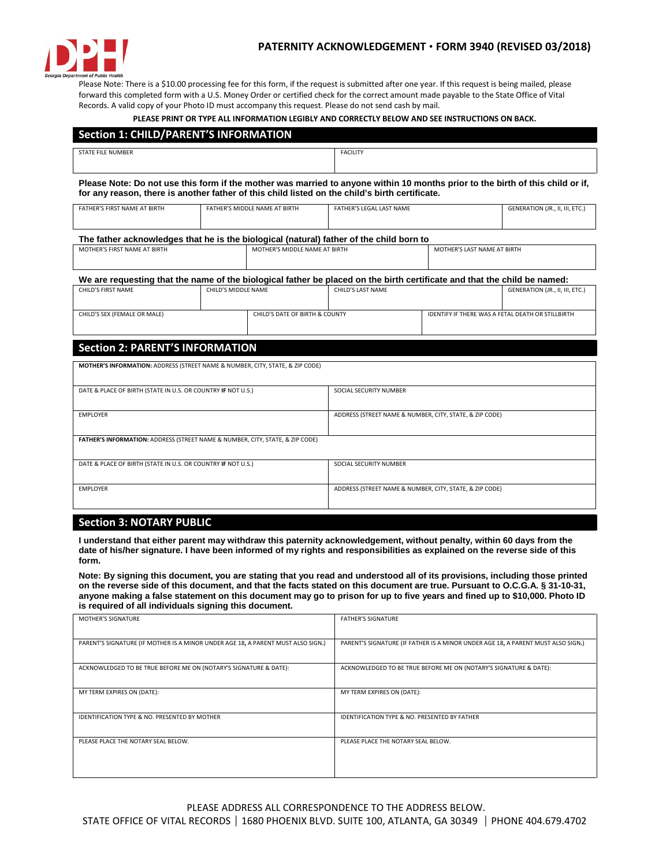

Please Note: There is a \$10.00 processing fee for this form, if the request is submitted after one year. If this request is being mailed, please forward this completed form with a U.S. Money Order or certified check for the correct amount made payable to the State Office of Vital Records. A valid copy of your Photo ID must accompany this request. Please do not send cash by mail.

**PLEASE PRINT OR TYPE ALL INFORMATION LEGIBLY AND CORRECTLY BELOW AND SEE INSTRUCTIONS ON BACK.**

| <b>Section 1: CHILD/PARENT'S INFORMATION</b>                   |                                                                                                                          |                          |                                                         |                                                                                                                                |  |
|----------------------------------------------------------------|--------------------------------------------------------------------------------------------------------------------------|--------------------------|---------------------------------------------------------|--------------------------------------------------------------------------------------------------------------------------------|--|
| <b>STATE FILE NUMBER</b>                                       |                                                                                                                          | <b>FACILITY</b>          |                                                         |                                                                                                                                |  |
|                                                                | for any reason, there is another father of this child listed on the child's birth certificate.                           |                          |                                                         | Please Note: Do not use this form if the mother was married to anyone within 10 months prior to the birth of this child or if, |  |
| <b>FATHER'S FIRST NAME AT BIRTH</b>                            | FATHER'S MIDDLE NAME AT BIRTH                                                                                            | FATHER'S LEGAL LAST NAME |                                                         | GENERATION (JR., II, III, ETC.)                                                                                                |  |
|                                                                | The father acknowledges that he is the biological (natural) father of the child born to                                  |                          |                                                         |                                                                                                                                |  |
| MOTHER'S FIRST NAME AT RIRTH                                   | MOTHER'S MIDDLF NAME AT BIRTH                                                                                            |                          |                                                         | MOTHER'S LAST NAME AT BIRTH                                                                                                    |  |
|                                                                | We are requesting that the name of the biological father be placed on the birth certificate and that the child be named: |                          |                                                         |                                                                                                                                |  |
| CHILD'S FIRST NAME                                             | CHILD'S MIDDLF NAMF                                                                                                      | CHILD'S LAST NAME        |                                                         | GENERATION (JR., II, III, ETC.)                                                                                                |  |
| CHILD'S SEX (FEMALE OR MALE)<br>CHILD'S DATE OF BIRTH & COUNTY |                                                                                                                          |                          | IDENTIFY IF THERE WAS A FETAL DEATH OR STILLBIRTH       |                                                                                                                                |  |
| <b>Section 2: PARENT'S INFORMATION</b>                         |                                                                                                                          |                          |                                                         |                                                                                                                                |  |
|                                                                | MOTHER'S INFORMATION: ADDRESS (STREET NAME & NUMBER, CITY, STATE, & ZIP CODE)                                            |                          |                                                         |                                                                                                                                |  |
| DATE & PLACE OF BIRTH (STATE IN U.S. OR COUNTRY IF NOT U.S.)   |                                                                                                                          |                          | SOCIAL SECURITY NUMBER                                  |                                                                                                                                |  |
| <b>EMPLOYER</b>                                                |                                                                                                                          |                          | ADDRESS (STREET NAME & NUMBER, CITY, STATE, & ZIP CODE) |                                                                                                                                |  |
|                                                                | FATHER'S INFORMATION: ADDRESS (STREET NAME & NUMBER, CITY, STATE, & ZIP CODE)                                            |                          |                                                         |                                                                                                                                |  |
| DATE & PLACE OF BIRTH (STATE IN U.S. OR COUNTRY IF NOT U.S.)   |                                                                                                                          |                          | SOCIAL SECURITY NUMBER                                  |                                                                                                                                |  |
| <b>EMPLOYER</b>                                                |                                                                                                                          |                          | ADDRESS (STREET NAME & NUMBER, CITY, STATE, & ZIP CODE) |                                                                                                                                |  |

# **Section 3: NOTARY PUBLIC**

**I understand that either parent may withdraw this paternity acknowledgement, without penalty, within 60 days from the date of his/her signature. I have been informed of my rights and responsibilities as explained on the reverse side of this form.** 

**Note: By signing this document, you are stating that you read and understood all of its provisions, including those printed on the reverse side of this document, and that the facts stated on this document are true. Pursuant to O.C.G.A. § 31-10-31, anyone making a false statement on this document may go to prison for up to five years and fined up to \$10,000. Photo ID is required of all individuals signing this document.**

| <b>MOTHER'S SIGNATURE</b>                                                        | <b>FATHER'S SIGNATURE</b>                                                        |
|----------------------------------------------------------------------------------|----------------------------------------------------------------------------------|
| PARENT'S SIGNATURE (IF MOTHER IS A MINOR UNDER AGE 18, A PARENT MUST ALSO SIGN.) | PARENT'S SIGNATURE (IF FATHER IS A MINOR UNDER AGE 18, A PARENT MUST ALSO SIGN.) |
| ACKNOWLEDGED TO BE TRUE BEFORE ME ON (NOTARY'S SIGNATURE & DATE):                | ACKNOWLEDGED TO BE TRUE BEFORE ME ON (NOTARY'S SIGNATURE & DATE):                |
| MY TERM EXPIRES ON (DATE):                                                       | MY TERM EXPIRES ON (DATE):                                                       |
| IDENTIFICATION TYPE & NO. PRESENTED BY MOTHER                                    | IDENTIFICATION TYPE & NO. PRESENTED BY FATHER                                    |
| PLEASE PLACE THE NOTARY SEAL BELOW.                                              | PLEASE PLACE THE NOTARY SEAL BELOW.                                              |